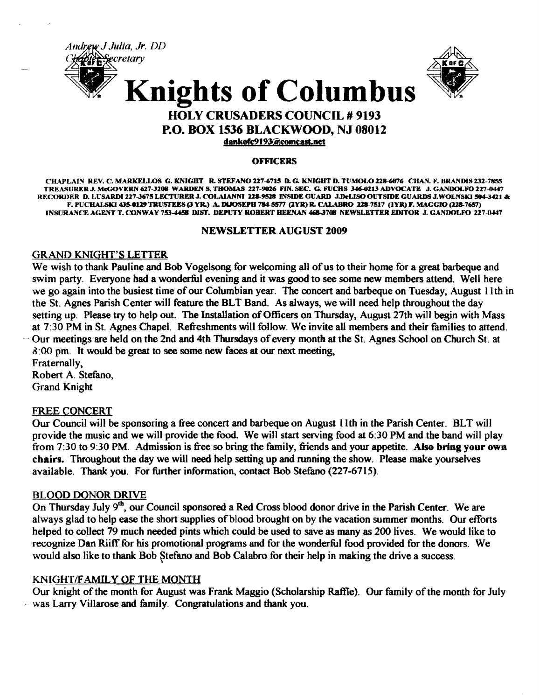



## HOLY CRUSADERS COUNCIL *119193*  P.O. BOX 1536 BLACKWOOD, NJ 08012

dankofc9193@comcast.net

#### **OFFICERS**

CHAPLAIN REV. C. MARKELLOS G. KNIGHT R. STEFANO 227-6715 D. G. KNIGHT D. TUMOLO 228-6076 CHAN. F. BRANDIS 232-7855 TREASURERJ. McGOVERN 627-3208 WARDEN S. THOMAS 227-9026 FIN. SEC. G. FUCHS J46.GZ13 ADVOCATE J. GANDOLFO 227-0447 RECORDER D. LUSARDI 227-3675 LECTURER J. COLAIANNI 228-9528 INSIDE GUARD J.DeLISO OUTSIDE GUARDS J.WOLNSKI 504-3421 & F. PUCHALSKI 435-0129 TRUSTEES (3 YR.) A. DIJOSEPH 784-5577 (2YR) R. CALABRO 228-7517 (1YR) F. MAGGIO (228-7657) INSURANCE AGENT T. CONWAY 753-4458 DIST. DEPUTY ROBERT HEENAN 468-3708 NEWSLETTER EDITOR J. GANDOLFO 227-0447

## NEWSLETTER AUGUST 2009

#### GRAND KNIGHT'S LETTER

We wish to thank Pauline and Bob Vogelsong for welcoming all of us to their home for a great barbeque and swim party. Everyone had a wonderful evening and it was good to see some new members attend. Well here we go again into the busiest time of our Columbian year. The concert and barbeque on Tuesday, August 11th in the St. Agnes Parish Center will feature the BLT Band. As always, we will need help throughout the day setting up. Please try to help out. The Installation of Officers on Thursday, August 27th will begin with Mass at 7:30 PM in St. Agnes Chapel. Refreshments will follow. We invite all members and their families to attend.  $\sim$  Our meetings are held on the 2nd and 4th Thursdays of every month at the St. Agnes School on Church St. at 6:00 pm. It would be great to see some new faces at our next meeting,

Fraternally, Robert A. Stefano, Grand Knight

## FREE CONCERT

Our Council will be sponsoring a free concert and barbeque on August 11th in the Parish Center. BLT will provide the music and we will provide the food. We will start serving food at 6:30 PM and the band will play from 7:30 to 9:30 PM. Admission is free so bring the family, friends and your appetite. Also bring your own chairs. Throughout the day we will need help setting up and running the show. Please make yourselves available. Thank you. For further information, contact Bob Stefano (227-6715).

#### BLOOD DONOR DRIVE

On Thursday July 9<sup>th</sup>, our Council sponsored a Red Cross blood donor drive in the Parish Center. We are always glad to help ease the short supplies of blood brought on by the vacation summer months. Our efforts helped to collect 79 much needed pints which could be used to save as many as 200 lives. We would like to recognize Dan Riiff for his promotional programs and for the wonderful food provided for the donors. We would also like to thank Bob Stefano and Bob Calabro for their help in making the drive a success.

## KNIGHT/FAMILY OF THE MONTH

Our knight of the month for August was Frank Maggio (Scholarship Raffle). Our family of the month for July was Larry Villarose and family. Congratulations and thank you.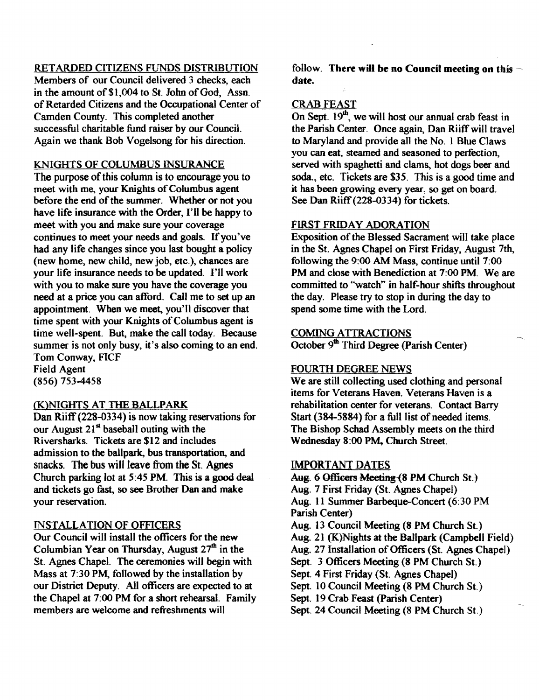## RETARDED CITIZENS FUNDS DISTRIBUTION

Members of our Council delivered 3 checks, each in the amount of \$1,004 to St. John of God, Assn. of Retarded Citizens and the Occupational Center of Camden County. This completed another successful charitable fund raiser by our Council. Again we thank Bob Vogelsong for his direction.

#### KNIGHTS OF COLUMBUS INSURANCE

The purpose of this column is to encourage you to meet with me, your Knights of Columbus agent before the end of the summer. Whether or not you have life insurance with the Order, I'll be happy to meet with you and make sure your coverage continues to meet your needs and goals. If you've had any life changes since you last bought a policy (new home, new child, new job, etc.), chances are your life insurance needs to be updated. I'll work with you to make sure you have the coverage you need at a price you can afford. Call me to set up an appointment. When we meet, you'll discover that time spent with your Knights of Columbus agent is time well-spent. But, make the call today. Because summer is not only busy, it's also coming to an end. Tom Conway, FICF Field Agent

(856) 753-4458

#### (K)NIGHTS AT THE BALLPARK

Dan Riff (228-0334) is now taking reservations for our August  $21<sup>st</sup>$  baseball outing with the Riversharks. Tickets are \$12 and includes admission to the ballpark, bus transportation, and snacks. The bus will leave from the St. Agnes Church parking lot at 5:45 PM. This is a good deal and tickets go fast, so see Brother Dan and make your reservation.

#### INSTALLATION OF OFFICERS

Our Council will install the officers for the new Columbian Year on Thursday, August  $27<sup>th</sup>$  in the St. Agnes Chapel. The ceremonies will begin with Mass at 7:30 PM, followed by the installation by our District Deputy. All officers are expected to at the Chapel at 7:00 PM for a short rehearsal. Family members are welcome and refreshments will

follow. There will be no Council meeting on this date.

#### CRAB FEAST

On Sept.  $19<sup>th</sup>$ , we will host our annual crab feast in the Parish Center. Once again, Dan Riiff will travel to Maryland and provide all the No. I Blue Claws you can eat, steamed and seasoned to perfection, served with spaghetti and clams, hot dogs beer and soda., etc. Tickets are \$35. This is a good time and it has been growing every year, so get on board. See Dan Riiff(228-0334) for tickets.

#### FIRST FRIDAY ADORATION

Exposition of the Blessed Sacrament will take place in the St. Agnes Chapel on First Friday, August 7th, following the 9:00 AM Mass, continue until 7:00 PM and close with Benediction at 7:00 PM. We are committed to "watch" in half-hour shifts throughout the day. Please try to stop in during the day to spend some time with the Lord.

## COMING ATTRACTIONS

October  $9<sup>th</sup>$  Third Degree (Parish Center)

#### FOURTH DEGREE NEWS

We are still collecting used clothing and personal items for Veterans Haven. Veterans Haven is a rehabilitation center for veterans. Contact Barry Start (384-5884) for a full list of needed items. The Bishop Schad Assembly meets on the third Wednesday 8:00 PM. Church Street.

#### IMPORTANT DATES

Aug. 6 Officers Meeting (8 PM Church St.) Aug. 7 First Friday (St. Agnes Chapel) Aug. 11 Summer Barbeque-Concert (6:30 PM Parish Center) Aug. 13 Council Meeting (8 PM Church St.) Aug. 21 (K)Nights at the Ballpark (Campbell Field) Aug. 27 Installation of Officers (St. Agnes Chapel) Sept. 3 Officers Meeting (8 PM Church St.) Sept. 4 First Friday (St. Agnes Chapel) Sept. 10 Council Meeting (8 PM Church St.) Sept. 19 Crab Feast (parish Center) Sept. 24 Council Meeting (8 PM Church St.)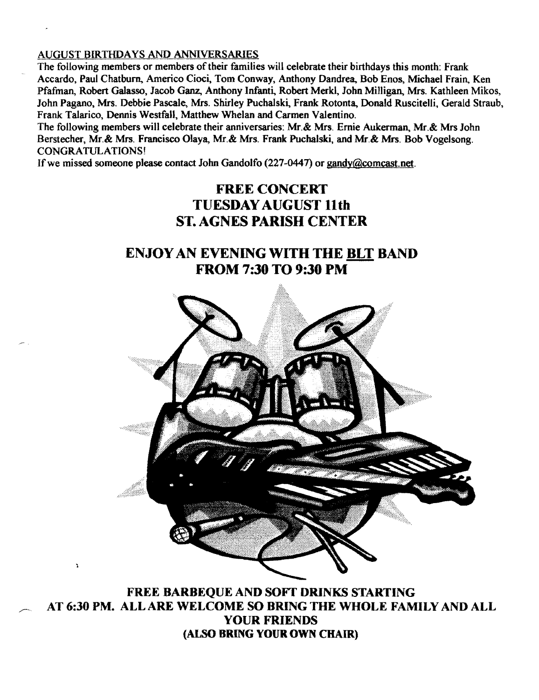## AUGUST BIRTHDAYS AND ANNIVERSARIES

The following members or members of their families will celebrate their birthdays this month: Frank Accardo, Paul Chatburn. Americo Cioci, Tom Conway, Anthony Dandrea, Bob Enos, Michael Frain, Ken pfafman, Robert Galasso, Jacob Ganz, Anthony Infanti., Robert Merkl, John Milligan, Mrs. Kathleen Mikos, John Pagano, Mrs. Debbie Pascale, Mrs. Shirley Puchalski., Frank Rotonta, Donald Ruscitelli, Gerald Straub, Frank Talarico, Dennis Westfall, Matthew Whelan and Carmen Valentino.

The following members will celebrate their anniversaries: Mr.& Mrs. Ernie Aukerman, Mr.& Mrs John Berstecher, Mr.& Mrs. Francisco Olaya, Mr.& Mrs. Frank Puchalski, and Mr.& Mrs. Bob Vogelsong. CONGRATULATIONS!

If we missed someone please contact John Gandolfo (227-0447) or gandy@comcast.net.

# FREE CONCERT TUESDAY AUGUST 11th ST. AGNES PARISH CENTER

# ENJOYAN EVENING WITH THE BLT BAND FROM 7:30 TO 9:30 PM



FREE BARBEQUE AND SOFT DRINKS STARTING AT 6:30 PM. ALL ARE WELCOME SO BRING THE WHOLE FAMILY AND ALL YOUR FRIENDS (ALSO BRING YOUR OWN CHAIR)